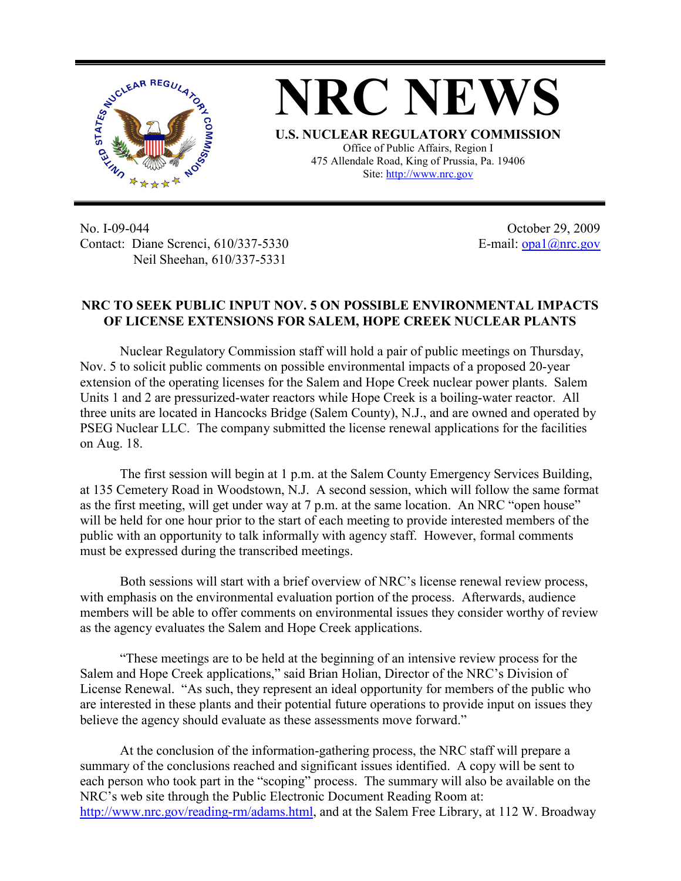

**NRC NEWS U.S. NUCLEAR REGULATORY COMMISSION** Office of Public Affairs, Region I 475 Allendale Road, King of Prussia, Pa. 19406

Site: http://www.nrc.gov

No. I-09-044 Contact: Diane Screnci, 610/337-5330 Neil Sheehan, 610/337-5331

October 29, 2009 E-mail:  $\frac{opa1}{@nrc.gov}$ 

## **NRC TO SEEK PUBLIC INPUT NOV. 5 ON POSSIBLE ENVIRONMENTAL IMPACTS OF LICENSE EXTENSIONS FOR SALEM, HOPE CREEK NUCLEAR PLANTS**

Nuclear Regulatory Commission staff will hold a pair of public meetings on Thursday, Nov. 5 to solicit public comments on possible environmental impacts of a proposed 20-year extension of the operating licenses for the Salem and Hope Creek nuclear power plants. Salem Units 1 and 2 are pressurized-water reactors while Hope Creek is a boiling-water reactor. All three units are located in Hancocks Bridge (Salem County), N.J., and are owned and operated by PSEG Nuclear LLC. The company submitted the license renewal applications for the facilities on Aug. 18.

The first session will begin at 1 p.m. at the Salem County Emergency Services Building, at 135 Cemetery Road in Woodstown, N.J. A second session, which will follow the same format as the first meeting, will get under way at 7 p.m. at the same location. An NRC "open house" will be held for one hour prior to the start of each meeting to provide interested members of the public with an opportunity to talk informally with agency staff. However, formal comments must be expressed during the transcribed meetings.

Both sessions will start with a brief overview of NRC's license renewal review process, with emphasis on the environmental evaluation portion of the process. Afterwards, audience members will be able to offer comments on environmental issues they consider worthy of review as the agency evaluates the Salem and Hope Creek applications.

"These meetings are to be held at the beginning of an intensive review process for the Salem and Hope Creek applications," said Brian Holian, Director of the NRC's Division of License Renewal. "As such, they represent an ideal opportunity for members of the public who are interested in these plants and their potential future operations to provide input on issues they believe the agency should evaluate as these assessments move forward."

At the conclusion of the information-gathering process, the NRC staff will prepare a summary of the conclusions reached and significant issues identified. A copy will be sent to each person who took part in the "scoping" process. The summary will also be available on the NRC's web site through the Public Electronic Document Reading Room at: http://www.nrc.gov/reading-rm/adams.html, and at the Salem Free Library, at 112 W. Broadway